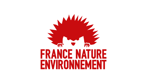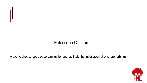## Eoloscope Offshore

A tool to choose good opportunities for and facilitate the installation of offshore turbines

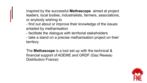Inspired by the successful **Methascope** aimed at project leaders, local bodies, industrialists, farmers, associations, or anybody wishing to

- find out about or improve their knowledge of the issues entailed by methanisation
- facilitate the dialogue with territorial stakeholders
- take a stand on a precise methanisation project on their territory

The **Methascope** is a tool set up with the technical & financial support of ADEME and GRDF (Gaz Reseau Distribution France)

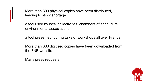More than 300 physical copies have been distributed, leading to stock shortage

a tool used by local collectivities, chambers of agriculture, environmental associations

a tool presented during talks or workshops all over France

More than 600 digitised copies have been downloaded from the FNE website

Many press requests

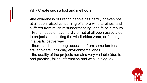Why Create such a tool and method ?

-the awareness of French people has hardly or even not at all been raised concerning offshore wind turbines, and suffered from much misunderstanding, and false rumours

- French people have hardly or not at all been associated to projects in selecting the windturbine zone, or funding in a participative way
- there has been strong opposition from some territorial stakeholders, including environmental ones

- the quality of the projects remains very variable (due to bad practice, failed information and weak dialogue)

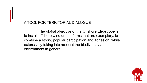## A TOOL FOR TERRITORIAL DIALOGUE

The global objective of the Offshore Eleoscope is to install offshore windturbine farms that are exemplary, to combine a strong popular participation and adhesion, while extensively taking into account the biodiversity and the environment in general.

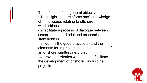The 4 facets of the general objective :

- 1 highlight - and reinforce one's knowledge of – the issues relating to offshore windturbines

- 2 facilitate a process of dialogue between associations, territorial and economic stakeholders

- 3 identify the good practice(s) and the elements for improvement in the setting up of an offshore windturbine project

- 4 provide territories with a tool to facilitate the development of offshore windturbine projects

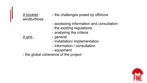## windturbines

- A booklet : the challenges posed by offshore
	- accessing information and consultation
	- the existing regulations
	- analysing the criteria
- A grid : general
	- installation/ implementation
	- information / consultation
	- equipment
- the global coherence of the project

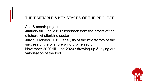## THE TIMETABLE & KEY STAGES OF THE PROJECT

An 18-month project : January till June 2019 : feedback from the actors of the offshore windturbine sector July till October 2019 : analysis of the key factors of the success of the offshore windturbine sector November 2020 till June 2020 : drawing-up & laying out, valorisation of the tool